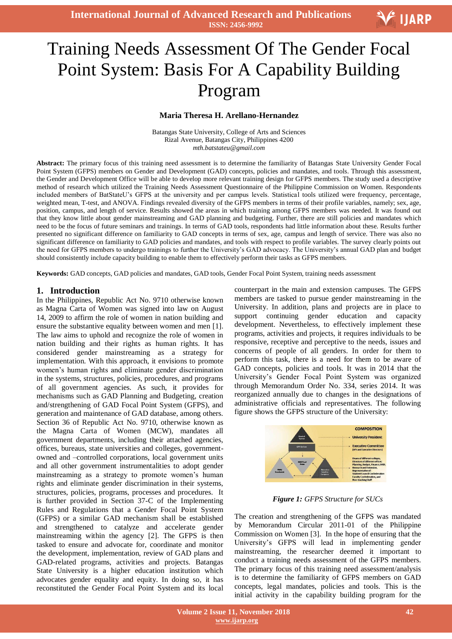# ׇ֚֡֬ Training Needs Assessment Of The Gender Focal Point System: Basis For A Capability Building Program

#### **Maria Theresa H. Arellano-Hernandez**

Batangas State University, College of Arts and Sciences Rizal Avenue, Batangas City, Philippines 4200 *mth.batstateu@gmail.com*

**Abstract:** The primary focus of this training need assessment is to determine the familiarity of Batangas State University Gender Focal Point System (GFPS) members on Gender and Development (GAD) concepts, policies and mandates, and tools. Through this assessment, the Gender and Development Office will be able to develop more relevant training design for GFPS members. The study used a descriptive method of research which utilized the Training Needs Assessment Questionnaire of the Philippine Commission on Women. Respondents included members of BatStateU's GFPS at the university and per campus levels. Statistical tools utilized were frequency, percentage, weighted mean, T-test, and ANOVA. Findings revealed diversity of the GFPS members in terms of their profile variables, namely; sex, age, position, campus, and length of service. Results showed the areas in which training among GFPS members was needed. It was found out that they know little about gender mainstreaming and GAD planning and budgeting. Further, there are still policies and mandates which need to be the focus of future seminars and trainings. In terms of GAD tools, respondents had little information about these. Results further presented no significant difference on familiarity to GAD concepts in terms of sex, age, campus and length of service. There was also no significant difference on familiarity to GAD policies and mandates, and tools with respect to profile variables. The survey clearly points out the need for GFPS members to undergo trainings to further the University's GAD advocacy. The University's annual GAD plan and budget should consistently include capacity building to enable them to effectively perform their tasks as GFPS members.

**Keywords:** GAD concepts, GAD policies and mandates, GAD tools, Gender Focal Point System, training needs assessment

#### **1. Introduction**

In the Philippines, Republic Act No. 9710 otherwise known as Magna Carta of Women was signed into law on August 14, 2009 to affirm the role of women in nation building and ensure the substantive equality between women and men [1]. The law aims to uphold and recognize the role of women in nation building and their rights as human rights. It has considered gender mainstreaming as a strategy for implementation. With this approach, it envisions to promote women's human rights and eliminate gender discrimination in the systems, structures, policies, procedures, and programs of all government agencies. As such, it provides for mechanisms such as GAD Planning and Budgeting, creation and/strengthening of GAD Focal Point System (GFPS), and generation and maintenance of GAD database, among others. Section 36 of Republic Act No. 9710, otherwise known as the Magna Carta of Women (MCW), mandates all government departments, including their attached agencies, offices, bureaus, state universities and colleges, governmentowned and –controlled corporations, local government units and all other government instrumentalities to adopt gender mainstreaming as a strategy to promote women's human rights and eliminate gender discrimination in their systems, structures, policies, programs, processes and procedures. It is further provided in Section 37-C of the Implementing Rules and Regulations that a Gender Focal Point System (GFPS) or a similar GAD mechanism shall be established and strengthened to catalyze and accelerate gender mainstreaming within the agency [2]. The GFPS is then tasked to ensure and advocate for, coordinate and monitor the development, implementation, review of GAD plans and GAD-related programs, activities and projects. Batangas State University is a higher education institution which advocates gender equality and equity. In doing so, it has reconstituted the Gender Focal Point System and its local

counterpart in the main and extension campuses. The GFPS members are tasked to pursue gender mainstreaming in the University. In addition, plans and projects are in place to support continuing gender education and capacity development. Nevertheless, to effectively implement these programs, activities and projects, it requires individuals to be responsive, receptive and perceptive to the needs, issues and concerns of people of all genders. In order for them to perform this task, there is a need for them to be aware of GAD concepts, policies and tools. It was in 2014 that the University's Gender Focal Point System was organized through Memorandum Order No. 334, series 2014. It was reorganized annually due to changes in the designations of administrative officials and representatives. The following figure shows the GFPS structure of the University:



*Figure 1: GFPS Structure for SUCs*

The creation and strengthening of the GFPS was mandated by Memorandum Circular 2011-01 of the Philippine Commission on Women [3]. In the hope of ensuring that the University's GFPS will lead in implementing gender mainstreaming, the researcher deemed it important to conduct a training needs assessment of the GFPS members. The primary focus of this training need assessment/analysis is to determine the familiarity of GFPS members on GAD concepts, legal mandates, policies and tools. This is the initial activity in the capability building program for the

V IJARP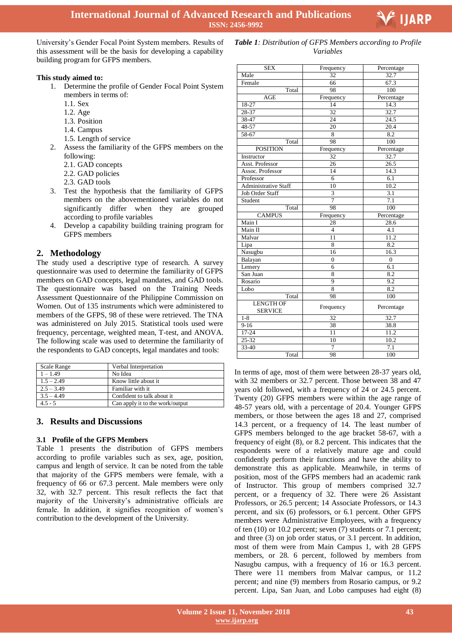

University's Gender Focal Point System members. Results of this assessment will be the basis for developing a capability building program for GFPS members.

#### **This study aimed to:**

- 1. Determine the profile of Gender Focal Point System members in terms of:
	- 1.1. Sex
	- 1.2. Age
	- 1.3. Position
	- 1.4. Campus
	- 1.5. Length of service
- 2. Assess the familiarity of the GFPS members on the following:
	- 2.1. GAD concepts
	- 2.2. GAD policies
	- 2.3. GAD tools
- 3. Test the hypothesis that the familiarity of GFPS members on the abovementioned variables do not significantly differ when they are grouped according to profile variables
- 4. Develop a capability building training program for GFPS members

## **2. Methodology**

The study used a descriptive type of research. A survey questionnaire was used to determine the familiarity of GFPS members on GAD concepts, legal mandates, and GAD tools. The questionnaire was based on the Training Needs Assessment Questionnaire of the Philippine Commission on Women. Out of 135 instruments which were administered to members of the GFPS, 98 of these were retrieved. The TNA was administered on July 2015. Statistical tools used were frequency, percentage, weighted mean, T-test, and ANOVA. The following scale was used to determine the familiarity of the respondents to GAD concepts, legal mandates and tools:

| Scale Range  | Verbal Interpretation           |
|--------------|---------------------------------|
| $1 - 1.49$   | No Idea                         |
| $1.5 - 2.49$ | Know little about it            |
| $2.5 - 3.49$ | Familiar with it                |
| $3.5 - 4.49$ | Confident to talk about it.     |
| $4.5 - 5$    | Can apply it to the work/output |

## **3. Results and Discussions**

#### **3.1 Profile of the GFPS Members**

Table 1 presents the distribution of GFPS members according to profile variables such as sex, age, position, campus and length of service. It can be noted from the table that majority of the GFPS members were female, with a frequency of 66 or 67.3 percent. Male members were only 32, with 32.7 percent. This result reflects the fact that majority of the University's administrative officials are female. In addition, it signifies recognition of women's contribution to the development of the University.

| <b>SEX</b>                         | Frequency               | Percentage        |  |
|------------------------------------|-------------------------|-------------------|--|
| Male                               | $\overline{32}$         | 32.7              |  |
| Female                             | 66                      | 67.3              |  |
| Total                              | 98                      | 100               |  |
| <b>AGE</b>                         | Frequency               | Percentage        |  |
| 18-27                              | 14                      | 14.3              |  |
| 28-37                              | 32                      | 32.7              |  |
| $38 - 47$                          | 24                      | $\overline{24.5}$ |  |
| 48-57                              | 20                      | 20.4              |  |
| $58-67$                            | 8                       | 8.2               |  |
| Total                              | 98                      | 100               |  |
| <b>POSITION</b>                    | Frequency               | Percentage        |  |
| Instructor                         | 32                      | 32.7              |  |
| Asst. Professor                    | 26                      | $\overline{26.5}$ |  |
| Assoc. Professor                   | 14                      | 14.3              |  |
| Professor                          | $\overline{6}$          | 6.1               |  |
| <b>Administrative Staff</b>        | 10                      | 10.2              |  |
| <b>Job Order Staff</b>             | $\overline{\mathbf{3}}$ | 3.1               |  |
| Student                            | $\overline{7}$          | 7.1               |  |
| Total                              | 98                      | 100               |  |
| <b>CAMPUS</b>                      | Frequency               | Percentage        |  |
| Main I                             | 28                      | 28.6              |  |
| Main II                            | $\overline{4}$          | 4.1               |  |
| Malvar                             | 11                      | 11.2              |  |
| Lipa                               | 8                       | 8.2               |  |
| Nasugbu                            | 16                      | 16.3              |  |
| Balayan                            | $\overline{0}$          | $\overline{0}$    |  |
| Lemery                             | 6                       | 6.1               |  |
| San Juan                           | 8                       | 8.2               |  |
| Rosario                            | $\overline{9}$          | 9.2               |  |
| Lobo                               | 8                       | 8.2               |  |
| Total                              | 98                      | 100               |  |
| <b>LENGTH OF</b><br><b>SERVICE</b> | Frequency               | Percentage        |  |
| $1 - 8$                            | 32                      | 32.7              |  |
| $9 - 16$                           | 38                      | 38.8              |  |
| 17-24                              | 11                      | 11.2              |  |
| 25-32                              | 10                      | 10.2              |  |
|                                    |                         |                   |  |
| $33 - 40$                          | $\overline{7}$          | 7.1               |  |

*Table 1: Distribution of GFPS Members according to Profile* 

*Variables*

In terms of age, most of them were between 28-37 years old, with 32 members or 32.7 percent. Those between 38 and 47 years old followed, with a frequency of 24 or 24.5 percent. Twenty (20) GFPS members were within the age range of 48-57 years old, with a percentage of 20.4. Younger GFPS members, or those between the ages 18 and 27, comprised 14.3 percent, or a frequency of 14. The least number of GFPS members belonged to the age bracket 58-67, with a frequency of eight (8), or 8.2 percent. This indicates that the respondents were of a relatively mature age and could confidently perform their functions and have the ability to demonstrate this as applicable. Meanwhile, in terms of position, most of the GFPS members had an academic rank of Instructor. This group of members comprised 32.7 percent, or a frequency of 32. There were 26 Assistant Professors, or 26.5 percent; 14 Associate Professors, or 14.3 percent, and six (6) professors, or 6.1 percent. Other GFPS members were Administrative Employees, with a frequency of ten (10) or 10.2 percent; seven (7) students or 7.1 percent; and three (3) on job order status, or 3.1 percent. In addition, most of them were from Main Campus 1, with 28 GFPS members, or 28. 6 percent, followed by members from Nasugbu campus, with a frequency of 16 or 16.3 percent. There were 11 members from Malvar campus, or 11.2 percent; and nine (9) members from Rosario campus, or 9.2 percent. Lipa, San Juan, and Lobo campuses had eight (8)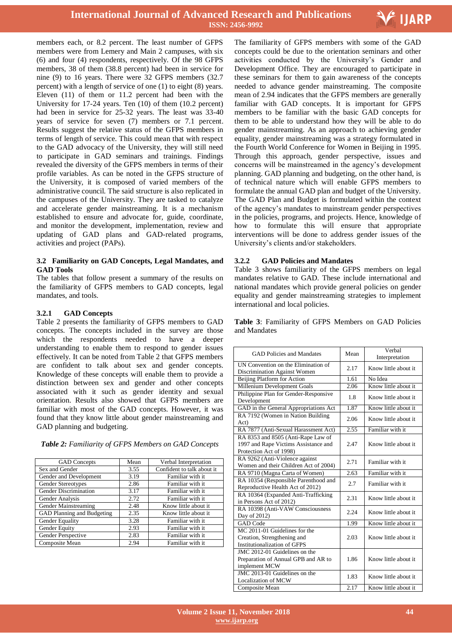

members each, or 8.2 percent. The least number of GFPS members were from Lemery and Main 2 campuses, with six (6) and four (4) respondents, respectively. Of the 98 GFPS members, 38 of them (38.8 percent) had been in service for nine (9) to 16 years. There were 32 GFPS members (32.7 percent) with a length of service of one (1) to eight (8) years. Eleven (11) of them or 11.2 percent had been with the University for 17-24 years. Ten (10) of them (10.2 percent) had been in service for 25-32 years. The least was 33-40 years of service for seven (7) members or 7.1 percent. Results suggest the relative status of the GFPS members in terms of length of service. This could mean that with respect to the GAD advocacy of the University, they will still need to participate in GAD seminars and trainings. Findings revealed the diversity of the GFPS members in terms of their profile variables. As can be noted in the GFPS structure of the University, it is composed of varied members of the administrative council. The said structure is also replicated in the campuses of the University. They are tasked to catalyze and accelerate gender mainstreaming. It is a mechanism established to ensure and advocate for, guide, coordinate, and monitor the development, implementation, review and updating of GAD plans and GAD-related programs, activities and project (PAPs).

#### **3.2 Familiarity on GAD Concepts, Legal Mandates, and GAD Tools**

The tables that follow present a summary of the results on the familiarity of GFPS members to GAD concepts, legal mandates, and tools.

## **3.2.1 GAD Concepts**

Table 2 presents the familiarity of GFPS members to GAD concepts. The concepts included in the survey are those which the respondents needed to have a deeper understanding to enable them to respond to gender issues effectively. It can be noted from Table 2 that GFPS members are confident to talk about sex and gender concepts. Knowledge of these concepts will enable them to provide a distinction between sex and gender and other concepts associated with it such as gender identity and sexual orientation. Results also showed that GFPS members are familiar with most of the GAD concepts. However, it was found that they know little about gender mainstreaming and GAD planning and budgeting.

| <b>GAD</b> Concepts          | Mean | Verbal Interpretation      |
|------------------------------|------|----------------------------|
| Sex and Gender               | 3.55 | Confident to talk about it |
| Gender and Development       | 3.19 | Familiar with it           |
| Gender Stereotypes           | 2.86 | Familiar with it           |
| <b>Gender Discrimination</b> | 3.17 | Familiar with it           |
| Gender Analysis              | 2.72 | Familiar with it           |
| Gender Mainstreaming         | 2.48 | Know little about it       |
| GAD Planning and Budgeting   | 2.35 | Know little about it       |
| Gender Equality              | 3.28 | Familiar with it           |
| Gender Equity                | 2.93 | Familiar with it           |
| Gender Perspective           | 2.83 | Familiar with it           |
| Composite Mean               | 2.94 | Familiar with it           |

*Table 2: Familiarity of GFPS Members on GAD Concepts*

 The familiarity of GFPS members with some of the GAD concepts could be due to the orientation seminars and other activities conducted by the University's Gender and Development Office. They are encouraged to participate in these seminars for them to gain awareness of the concepts needed to advance gender mainstreaming. The composite mean of 2.94 indicates that the GFPS members are generally familiar with GAD concepts. It is important for GFPS members to be familiar with the basic GAD concepts for them to be able to understand how they will be able to do gender mainstreaming. As an approach to achieving gender equality, gender mainstreaming was a strategy formulated in the Fourth World Conference for Women in Beijing in 1995. Through this approach, gender perspective, issues and concerns will be mainstreamed in the agency's development planning. GAD planning and budgeting, on the other hand, is of technical nature which will enable GFPS members to formulate the annual GAD plan and budget of the University. The GAD Plan and Budget is formulated within the context of the agency's mandates to mainstream gender perspectives in the policies, programs, and projects. Hence, knowledge of how to formulate this will ensure that appropriate interventions will be done to address gender issues of the University's clients and/or stakeholders.

#### **3.2.2 GAD Policies and Mandates**

Table 3 shows familiarity of the GFPS members on legal mandates relative to GAD. These include international and national mandates which provide general policies on gender equality and gender mainstreaming strategies to implement international and local policies.

|              | Table 3: Familiarity of GFPS Members on GAD Policies |  |  |  |
|--------------|------------------------------------------------------|--|--|--|
| and Mandates |                                                      |  |  |  |
|              |                                                      |  |  |  |

| <b>GAD Policies and Mandates</b>                                                                      | Mean | Verbal<br>Interpretation |  |
|-------------------------------------------------------------------------------------------------------|------|--------------------------|--|
| UN Convention on the Elimination of<br>Discrimination Against Women                                   | 2.17 | Know little about it     |  |
| Beijing Platform for Action                                                                           | 1.61 | No Idea                  |  |
| Millenium Development Goals                                                                           | 2.06 | Know little about it     |  |
| Philippine Plan for Gender-Responsive<br>Development                                                  | 1.8  | Know little about it.    |  |
| GAD in the General Appropriations Act                                                                 | 1.87 | Know little about it     |  |
| RA 7192 (Women in Nation Building<br>Act)                                                             | 2.06 | Know little about it     |  |
| RA 7877 (Anti-Sexual Harassment Act)                                                                  | 2.55 | Familiar with it         |  |
| RA 8353 and 8505 (Anti-Rape Law of<br>1997 and Rape Victims Assistance and<br>Protection Act of 1998) | 2.47 | Know little about it     |  |
| RA 9262 (Anti-Violence against<br>Women and their Children Act of 2004)                               | 2.71 | Familiar with it         |  |
| RA 9710 (Magna Carta of Women)                                                                        | 2.63 | Familiar with it         |  |
| RA 10354 (Responsible Parenthood and<br>Reproductive Health Act of 2012)                              | 2.7  | Familiar with it         |  |
| RA 10364 (Expanded Anti-Trafficking<br>in Persons Act of 2012)                                        | 2.31 | Know little about it.    |  |
| RA 10398 (Anti-VAW Consciousness<br>Day of 2012)                                                      | 2.24 | Know little about it.    |  |
| <b>GAD</b> Code                                                                                       | 1.99 | Know little about it     |  |
| MC 2011-01 Guidelines for the<br>Creation, Strengthening and<br><b>Institutionalization of GFPS</b>   | 2.03 | Know little about it.    |  |
| JMC 2012-01 Guidelines on the<br>Preparation of Annual GPB and AR to<br>implement MCW                 | 1.86 | Know little about it.    |  |
| JMC 2013-01 Guidelines on the<br>Localization of MCW                                                  | 1.83 | Know little about it.    |  |
| Composite Mean                                                                                        | 2.17 | Know little about it     |  |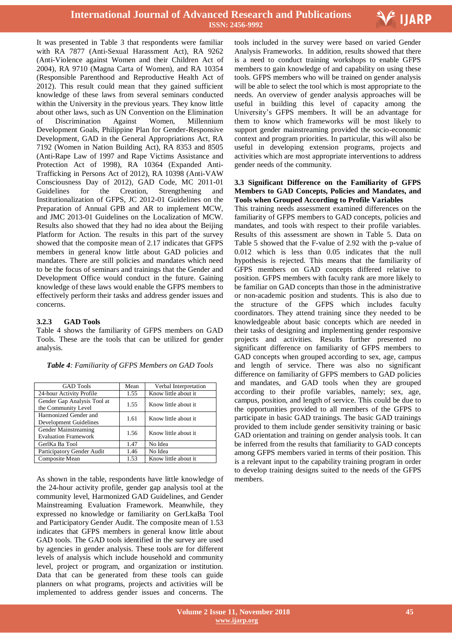

It was presented in Table 3 that respondents were familiar with RA 7877 (Anti-Sexual Harassment Act), RA 9262 (Anti-Violence against Women and their Children Act of 2004), RA 9710 (Magna Carta of Women), and RA 10354 (Responsible Parenthood and Reproductive Health Act of 2012). This result could mean that they gained sufficient knowledge of these laws from several seminars conducted within the University in the previous years. They know little about other laws, such as UN Convention on the Elimination of Discrimination Against Women, Millennium Development Goals, Philippine Plan for Gender-Responsive Development, GAD in the General Appropriations Act, RA 7192 (Women in Nation Building Act), RA 8353 and 8505 (Anti-Rape Law of 1997 and Rape Victims Assistance and Protection Act of 1998), RA 10364 (Expanded Anti-Trafficking in Persons Act of 2012), RA 10398 (Anti-VAW Consciousness Day of 2012), GAD Code, MC 2011-01 Guidelines for the Creation, Strengthening and Institutionalization of GFPS, JC 2012-01 Guidelines on the Preparation of Annual GPB and AR to implement MCW, and JMC 2013-01 Guidelines on the Localization of MCW. Results also showed that they had no idea about the Beijing Platform for Action. The results in this part of the survey showed that the composite mean of 2.17 indicates that GFPS members in general know little about GAD policies and mandates. There are still policies and mandates which need to be the focus of seminars and trainings that the Gender and Development Office would conduct in the future. Gaining knowledge of these laws would enable the GFPS members to effectively perform their tasks and address gender issues and concerns.

#### **3.2.3 GAD Tools**

Harmonized Gender and

Gender Mainstreaming

GerlKa Ba Tool

Table 4 shows the familiarity of GFPS members on GAD Tools. These are the tools that can be utilized for gender analysis.

| <b>GAD</b> Tools                                   | Mean | Verbal Interpretation |
|----------------------------------------------------|------|-----------------------|
| 24-hour Activity Profile                           | 1.55 | Know little about it  |
| Gender Gap Analysis Tool at<br>the Community Level | 1.55 | Know little about it  |

Development Guidelines 1.61 Know little about it

Evaluation Framework 1.56 Know little about it<br>
GerlKa Ba Tool 1.47 No Idea

Composite Mean 1.53 Know little about it

Participatory Gender Audit 1.46 No Idea

*Table 4: Familiarity of GFPS Members on GAD Tools*

As shown in the table, respondents have little knowledge of the 24-hour activity profile, gender gap analysis tool at the community level, Harmonized GAD Guidelines, and Gender Mainstreaming Evaluation Framework. Meanwhile, they expressed no knowledge or familiarity on GerLkaBa Tool and Participatory Gender Audit. The composite mean of 1.53 indicates that GFPS members in general know little about GAD tools. The GAD tools identified in the survey are used by agencies in gender analysis. These tools are for different levels of analysis which include household and community level, project or program, and organization or institution. Data that can be generated from these tools can guide planners on what programs, projects and activities will be implemented to address gender issues and concerns. The

 tools included in the survey were based on varied Gender Analysis Frameworks. In addition, results showed that there is a need to conduct training workshops to enable GFPS members to gain knowledge of and capability on using these tools. GFPS members who will be trained on gender analysis will be able to select the tool which is most appropriate to the needs. An overview of gender analysis approaches will be useful in building this level of capacity among the University's GFPS members. It will be an advantage for them to know which frameworks will be most likely to support gender mainstreaming provided the socio-economic context and program priorities. In particular, this will also be useful in developing extension programs, projects and activities which are most appropriate interventions to address gender needs of the community.

#### **3.3 Significant Difference on the Familiarity of GFPS Members to GAD Concepts, Policies and Mandates, and Tools when Grouped According to Profile Variables**

This training needs assessment examined differences on the familiarity of GFPS members to GAD concepts, policies and mandates, and tools with respect to their profile variables. Results of this assessment are shown in Table 5. Data on Table 5 showed that the F-value of 2.92 with the p-value of 0.012 which is less than 0.05 indicates that the null hypothesis is rejected. This means that the familiarity of GFPS members on GAD concepts differed relative to position. GFPS members with faculty rank are more likely to be familiar on GAD concepts than those in the administrative or non-academic position and students. This is also due to the structure of the GFPS which includes faculty coordinators. They attend training since they needed to be knowledgeable about basic concepts which are needed in their tasks of designing and implementing gender responsive projects and activities. Results further presented no significant difference on familiarity of GFPS members to GAD concepts when grouped according to sex, age, campus and length of service. There was also no significant difference on familiarity of GFPS members to GAD policies and mandates, and GAD tools when they are grouped according to their profile variables, namely; sex, age, campus, position, and length of service. This could be due to the opportunities provided to all members of the GFPS to participate in basic GAD trainings. The basic GAD trainings provided to them include gender sensitivity training or basic GAD orientation and training on gender analysis tools. It can be inferred from the results that familiarity to GAD concepts among GFPS members varied in terms of their position. This is a relevant input to the capability training program in order to develop training designs suited to the needs of the GFPS members.